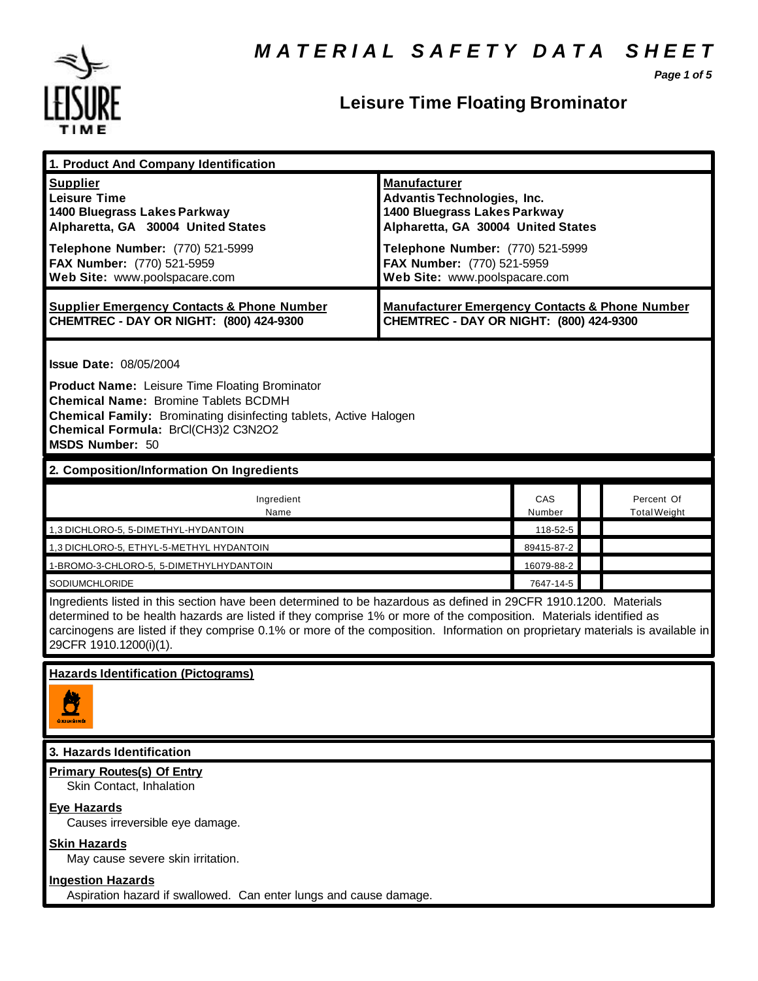

### **Leisure Time Floating Brominator**

*Page 1 of 5*

| 1. Product And Company Identification                                                                                                                                                                                                                                                                                                                                                             |                                                                                                                                                                                                                                    |               |  |                                   |  |
|---------------------------------------------------------------------------------------------------------------------------------------------------------------------------------------------------------------------------------------------------------------------------------------------------------------------------------------------------------------------------------------------------|------------------------------------------------------------------------------------------------------------------------------------------------------------------------------------------------------------------------------------|---------------|--|-----------------------------------|--|
| <b>Supplier</b><br><b>Leisure Time</b><br>1400 Bluegrass Lakes Parkway<br>Alpharetta, GA 30004 United States<br>Telephone Number: (770) 521-5999<br>FAX Number: (770) 521-5959<br>Web Site: www.poolspacare.com                                                                                                                                                                                   | <b>Manufacturer</b><br><b>Advantis Technologies, Inc.</b><br>1400 Bluegrass Lakes Parkway<br>Alpharetta, GA 30004 United States<br>Telephone Number: (770) 521-5999<br>FAX Number: (770) 521-5959<br>Web Site: www.poolspacare.com |               |  |                                   |  |
| <b>Supplier Emergency Contacts &amp; Phone Number</b><br>CHEMTREC - DAY OR NIGHT: (800) 424-9300                                                                                                                                                                                                                                                                                                  | <b>Manufacturer Emergency Contacts &amp; Phone Number</b><br>CHEMTREC - DAY OR NIGHT: (800) 424-9300                                                                                                                               |               |  |                                   |  |
| <b>Issue Date: 08/05/2004</b><br><b>Product Name:</b> Leisure Time Floating Brominator<br><b>Chemical Name: Bromine Tablets BCDMH</b><br><b>Chemical Family:</b> Brominating disinfecting tablets, Active Halogen<br>Chemical Formula: BrCI(CH3)2 C3N2O2<br><b>MSDS Number: 50</b>                                                                                                                |                                                                                                                                                                                                                                    |               |  |                                   |  |
| 2. Composition/Information On Ingredients                                                                                                                                                                                                                                                                                                                                                         |                                                                                                                                                                                                                                    |               |  |                                   |  |
| Ingredient<br>Name                                                                                                                                                                                                                                                                                                                                                                                |                                                                                                                                                                                                                                    | CAS<br>Number |  | Percent Of<br><b>Total Weight</b> |  |
| 1,3 DICHLORO-5, 5-DIMETHYL-HYDANTOIN                                                                                                                                                                                                                                                                                                                                                              |                                                                                                                                                                                                                                    | 118-52-5      |  |                                   |  |
| 1,3 DICHLORO-5, ETHYL-5-METHYL HYDANTOIN                                                                                                                                                                                                                                                                                                                                                          |                                                                                                                                                                                                                                    | 89415-87-2    |  |                                   |  |
| 1-BROMO-3-CHLORO-5, 5-DIMETHYLHYDANTOIN                                                                                                                                                                                                                                                                                                                                                           |                                                                                                                                                                                                                                    | 16079-88-2    |  |                                   |  |
| SODIUMCHLORIDE                                                                                                                                                                                                                                                                                                                                                                                    |                                                                                                                                                                                                                                    | 7647-14-5     |  |                                   |  |
| Ingredients listed in this section have been determined to be hazardous as defined in 29CFR 1910.1200. Materials<br>determined to be health hazards are listed if they comprise 1% or more of the composition. Materials identified as<br>carcinogens are listed if they comprise 0.1% or more of the composition. Information on proprietary materials is available in<br>29CFR 1910.1200(i)(1). |                                                                                                                                                                                                                                    |               |  |                                   |  |
| <b>Hazards Identification (Pictograms)</b><br>Abu,                                                                                                                                                                                                                                                                                                                                                |                                                                                                                                                                                                                                    |               |  |                                   |  |
| 3. Hazards Identification                                                                                                                                                                                                                                                                                                                                                                         |                                                                                                                                                                                                                                    |               |  |                                   |  |
| <b>Primary Routes(s) Of Entry</b><br>Skin Contact, Inhalation<br><b>Eye Hazards</b><br>Causes irreversible eye damage.                                                                                                                                                                                                                                                                            |                                                                                                                                                                                                                                    |               |  |                                   |  |
| <b>Skin Hazards</b><br>May cause severe skin irritation.                                                                                                                                                                                                                                                                                                                                          |                                                                                                                                                                                                                                    |               |  |                                   |  |
| <b>Ingestion Hazards</b>                                                                                                                                                                                                                                                                                                                                                                          |                                                                                                                                                                                                                                    |               |  |                                   |  |

Aspiration hazard if swallowed. Can enter lungs and cause damage.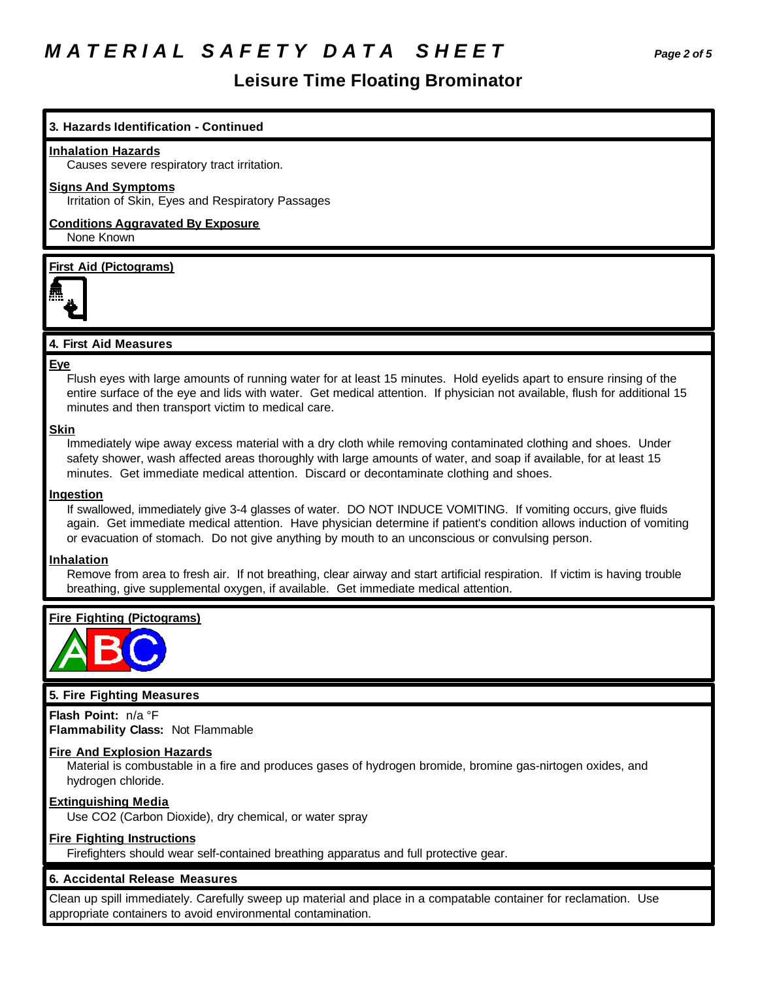## *M A T E R I A L S A F E T Y D A T A S H E E T Page 2 of 5*

### **Leisure Time Floating Brominator**

#### **3. Hazards Identification - Continued**

#### **Inhalation Hazards**

Causes severe respiratory tract irritation.

#### **Signs And Symptoms**

Irritation of Skin, Eyes and Respiratory Passages

#### **Conditions Aggravated By Exposure** None Known



#### **4. First Aid Measures**

#### **Eye**

Flush eyes with large amounts of running water for at least 15 minutes. Hold eyelids apart to ensure rinsing of the entire surface of the eye and lids with water. Get medical attention. If physician not available, flush for additional 15 minutes and then transport victim to medical care.

#### **Skin**

Immediately wipe away excess material with a dry cloth while removing contaminated clothing and shoes. Under safety shower, wash affected areas thoroughly with large amounts of water, and soap if available, for at least 15 minutes. Get immediate medical attention. Discard or decontaminate clothing and shoes.

#### **Ingestion**

If swallowed, immediately give 3-4 glasses of water. DO NOT INDUCE VOMITING. If vomiting occurs, give fluids again. Get immediate medical attention. Have physician determine if patient's condition allows induction of vomiting or evacuation of stomach. Do not give anything by mouth to an unconscious or convulsing person.

#### **Inhalation**

Remove from area to fresh air. If not breathing, clear airway and start artificial respiration. If victim is having trouble breathing, give supplemental oxygen, if available. Get immediate medical attention.

#### **Fire Fighting (Pictograms)**



#### **5. Fire Fighting Measures**

**Flash Point:** n/a °F **Flammability Class:** Not Flammable

#### **Fire And Explosion Hazards**

Material is combustable in a fire and produces gases of hydrogen bromide, bromine gas-nirtogen oxides, and hydrogen chloride.

#### **Extinguishing Media**

Use CO2 (Carbon Dioxide), dry chemical, or water spray

#### **Fire Fighting Instructions**

Firefighters should wear self-contained breathing apparatus and full protective gear.

#### **6. Accidental Release Measures**

Clean up spill immediately. Carefully sweep up material and place in a compatable container for reclamation. Use appropriate containers to avoid environmental contamination.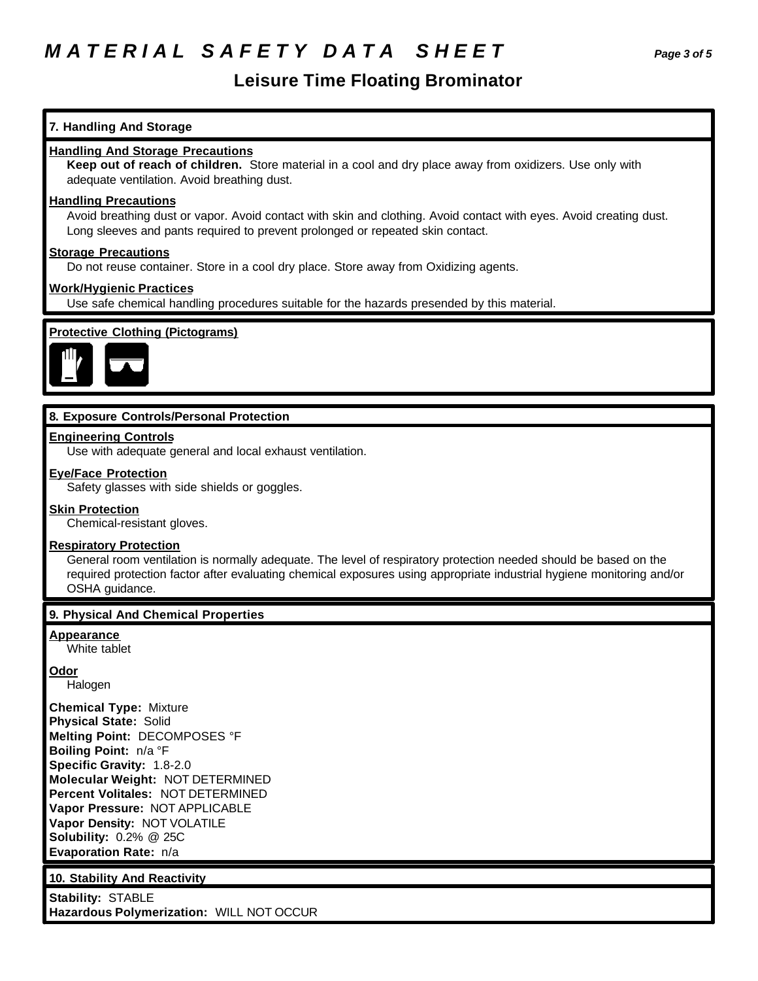## *M A T E R I A L S A F E T Y D A T A S H E E T Page 3 of 5*

### **Leisure Time Floating Brominator**

### **7. Handling And Storage Handling And Storage Precautions Keep out of reach of children.** Store material in a cool and dry place away from oxidizers. Use only with adequate ventilation. Avoid breathing dust. **Handling Precautions** Avoid breathing dust or vapor. Avoid contact with skin and clothing. Avoid contact with eyes. Avoid creating dust. Long sleeves and pants required to prevent prolonged or repeated skin contact. **Storage Precautions** Do not reuse container. Store in a cool dry place. Store away from Oxidizing agents. **Work/Hygienic Practices** Use safe chemical handling procedures suitable for the hazards presended by this material. **Protective Clothing (Pictograms) 8. Exposure Controls/Personal Protection Engineering Controls** Use with adequate general and local exhaust ventilation. **Eye/Face Protection** Safety glasses with side shields or goggles. **Skin Protection** Chemical-resistant gloves. **Respiratory Protection** General room ventilation is normally adequate. The level of respiratory protection needed should be based on the required protection factor after evaluating chemical exposures using appropriate industrial hygiene monitoring and/or OSHA guidance. **9. Physical And Chemical Properties Appearance** White tablet **Odor** Halogen **Chemical Type:** Mixture **Physical State:** Solid **Melting Point:** DECOMPOSES °F **Boiling Point:** n/a °F **Specific Gravity:** 1.8-2.0 **Molecular Weight:** NOT DETERMINED **Percent Volitales:** NOT DETERMINED **Vapor Pressure:** NOT APPLICABLE **Vapor Density:** NOT VOLATILE **Solubility:** 0.2% @ 25C **Evaporation Rate:** n/a **10. Stability And Reactivity Stability:** STABLE **Hazardous Polymerization:** WILL NOT OCCUR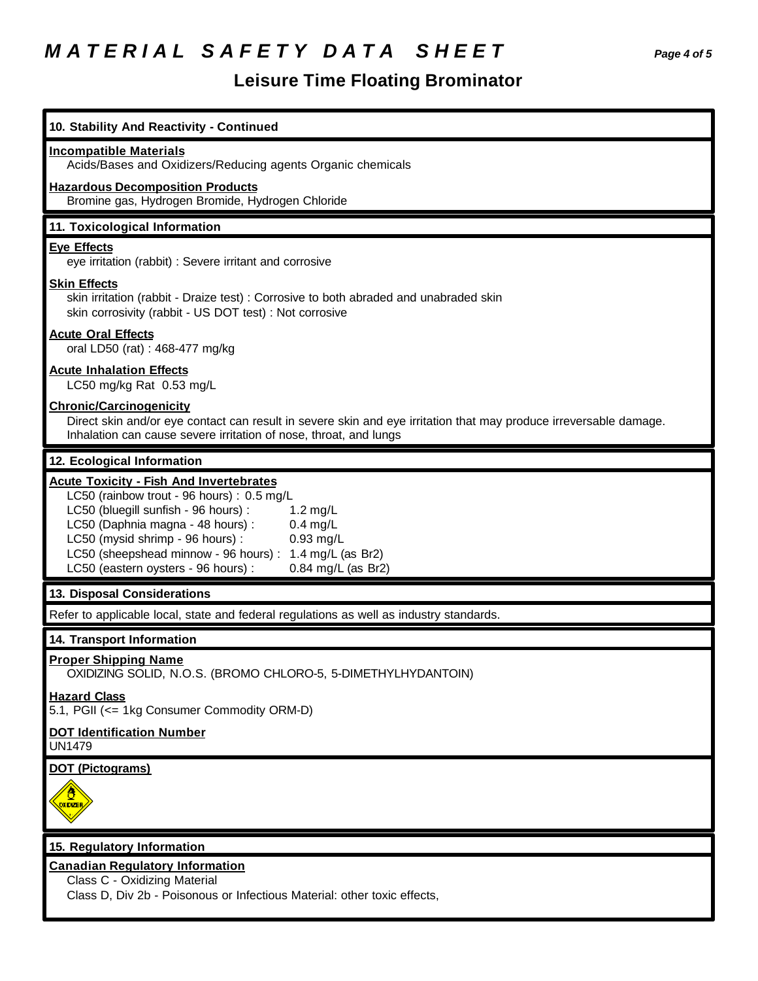# *M A T E R I A L S A F E T Y D A T A S H E E T Page 4 of 5*

# **Leisure Time Floating Brominator**

| 10. Stability And Reactivity - Continued                                                                                                                                                                                                                                                                                                                                         |
|----------------------------------------------------------------------------------------------------------------------------------------------------------------------------------------------------------------------------------------------------------------------------------------------------------------------------------------------------------------------------------|
| <b>Incompatible Materials</b><br>Acids/Bases and Oxidizers/Reducing agents Organic chemicals                                                                                                                                                                                                                                                                                     |
| <b>Hazardous Decomposition Products</b><br>Bromine gas, Hydrogen Bromide, Hydrogen Chloride                                                                                                                                                                                                                                                                                      |
| 11. Toxicological Information                                                                                                                                                                                                                                                                                                                                                    |
| <b>Eye Effects</b><br>eye irritation (rabbit) : Severe irritant and corrosive                                                                                                                                                                                                                                                                                                    |
| <b>Skin Effects</b><br>skin irritation (rabbit - Draize test) : Corrosive to both abraded and unabraded skin<br>skin corrosivity (rabbit - US DOT test) : Not corrosive                                                                                                                                                                                                          |
| <b>Acute Oral Effects</b><br>oral LD50 (rat) : 468-477 mg/kg                                                                                                                                                                                                                                                                                                                     |
| <b>Acute Inhalation Effects</b><br>LC50 mg/kg Rat 0.53 mg/L                                                                                                                                                                                                                                                                                                                      |
| <b>Chronic/Carcinogenicity</b><br>Direct skin and/or eye contact can result in severe skin and eye irritation that may produce irreversable damage.<br>Inhalation can cause severe irritation of nose, throat, and lungs                                                                                                                                                         |
| 12. Ecological Information                                                                                                                                                                                                                                                                                                                                                       |
| <b>Acute Toxicity - Fish And Invertebrates</b><br>LC50 (rainbow trout - 96 hours) : 0.5 mg/L<br>LC50 (bluegill sunfish - 96 hours) :<br>$1.2$ mg/L<br>LC50 (Daphnia magna - 48 hours) :<br>$0.4$ mg/L<br>LC50 (mysid shrimp - 96 hours) :<br>$0.93$ mg/L<br>LC50 (sheepshead minnow - 96 hours) : 1.4 mg/L (as Br2)<br>LC50 (eastern oysters - 96 hours) :<br>0.84 mg/L (as Br2) |
| 13. Disposal Considerations                                                                                                                                                                                                                                                                                                                                                      |
| Refer to applicable local, state and federal regulations as well as industry standards.                                                                                                                                                                                                                                                                                          |
| 14. Transport Information                                                                                                                                                                                                                                                                                                                                                        |
| <b>Proper Shipping Name</b><br>OXIDIZING SOLID, N.O.S. (BROMO CHLORO-5, 5-DIMETHYLHYDANTOIN)                                                                                                                                                                                                                                                                                     |
| <b>Hazard Class</b><br>5.1, PGII (<= 1kg Consumer Commodity ORM-D)                                                                                                                                                                                                                                                                                                               |
| <b>DOT Identification Number</b><br><b>UN1479</b>                                                                                                                                                                                                                                                                                                                                |
| <b>DOT (Pictograms)</b>                                                                                                                                                                                                                                                                                                                                                          |
| <u>oxdizer</u>                                                                                                                                                                                                                                                                                                                                                                   |
| 15. Regulatory Information                                                                                                                                                                                                                                                                                                                                                       |
| <b>Canadian Regulatory Information</b><br>Class C - Oxidizing Material<br>Class D, Div 2b - Poisonous or Infectious Material: other toxic effects,                                                                                                                                                                                                                               |